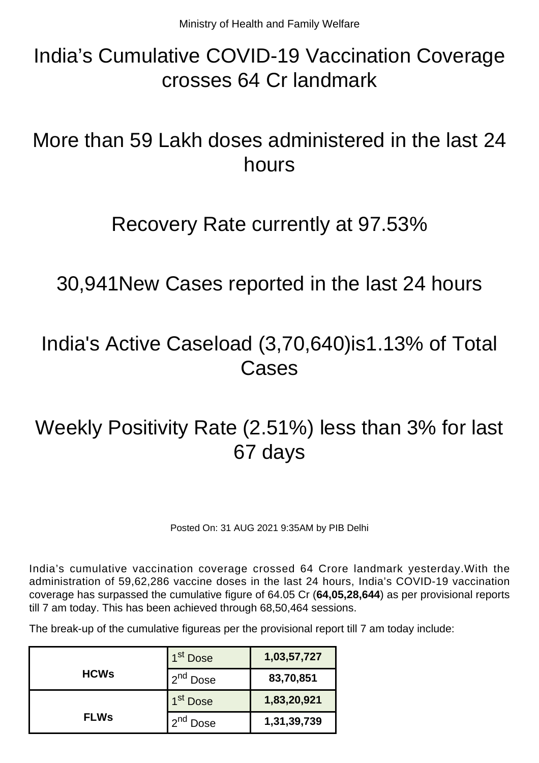# India's Cumulative COVID-19 Vaccination Coverage crosses 64 Cr landmark

# More than 59 Lakh doses administered in the last 24 hours

### Recovery Rate currently at 97.53%

30,941New Cases reported in the last 24 hours

## India's Active Caseload (3,70,640)is1.13% of Total **Cases**

# Weekly Positivity Rate (2.51%) less than 3% for last 67 days

Posted On: 31 AUG 2021 9:35AM by PIB Delhi

India's cumulative vaccination coverage crossed 64 Crore landmark yesterday.With the administration of 59,62,286 vaccine doses in the last 24 hours, India's COVID-19 vaccination coverage has surpassed the cumulative figure of 64.05 Cr (**64,05,28,644**) as per provisional reports till 7 am today. This has been achieved through 68,50,464 sessions.

The break-up of the cumulative figureas per the provisional report till 7 am today include:

|             | 1 <sup>st</sup> Dose | 1,03,57,727 |
|-------------|----------------------|-------------|
| <b>HCWs</b> | 2 <sup>nd</sup> Dose | 83,70,851   |
|             | 1 <sup>st</sup> Dose | 1,83,20,921 |
| <b>FLWs</b> | Dose                 | 1,31,39,739 |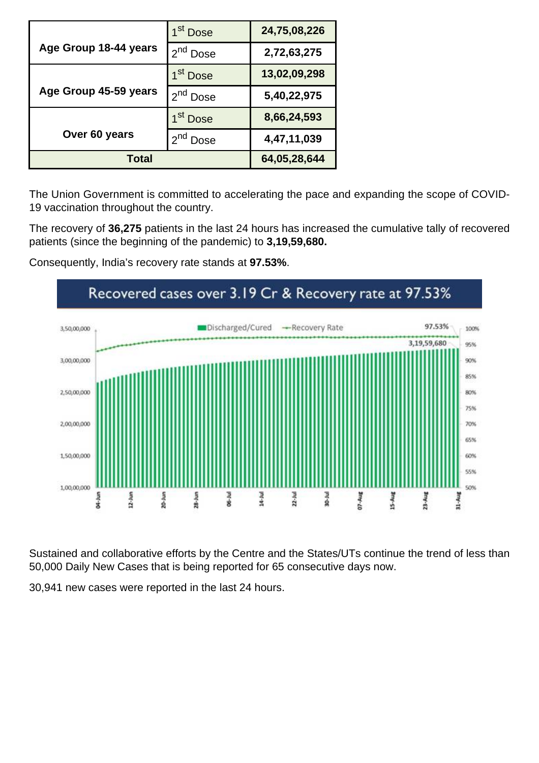|                       | 1 <sup>st</sup> Dose | 24,75,08,226 |
|-----------------------|----------------------|--------------|
| Age Group 18-44 years | 2 <sup>nd</sup> Dose | 2,72,63,275  |
|                       | 1 <sup>st</sup> Dose | 13,02,09,298 |
| Age Group 45-59 years | 2 <sup>nd</sup> Dose | 5,40,22,975  |
|                       | 1 <sup>st</sup> Dose | 8,66,24,593  |
| Over 60 years         | 2 <sup>nd</sup> Dose | 4,47,11,039  |
| <b>Total</b>          |                      | 64,05,28,644 |

The Union Government is committed to accelerating the pace and expanding the scope of COVID-19 vaccination throughout the country.

The recovery of **36,275** patients in the last 24 hours has increased the cumulative tally of recovered patients (since the beginning of the pandemic) to **3,19,59,680.**

Consequently, India's recovery rate stands at **97.53%**.



Sustained and collaborative efforts by the Centre and the States/UTs continue the trend of less than 50,000 Daily New Cases that is being reported for 65 consecutive days now.

30,941 new cases were reported in the last 24 hours.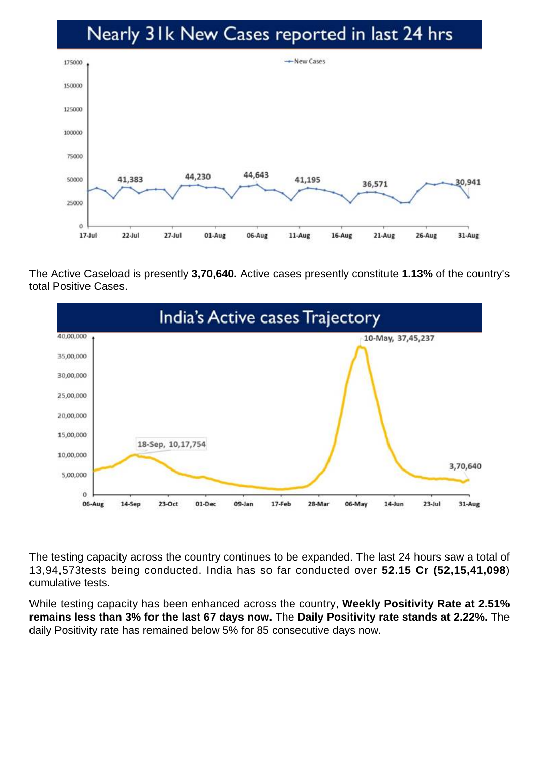#### Nearly 31k New Cases reported in last 24 hrs



The Active Caseload is presently **3,70,640.** Active cases presently constitute **1.13%** of the country's total Positive Cases.



The testing capacity across the country continues to be expanded. The last 24 hours saw a total of 13,94,573tests being conducted. India has so far conducted over **52.15 Cr (52,15,41,098**) cumulative tests.

While testing capacity has been enhanced across the country, **Weekly Positivity Rate at 2.51% remains less than 3% for the last 67 days now.** The **Daily Positivity rate stands at 2.22%.** The daily Positivity rate has remained below 5% for 85 consecutive days now.